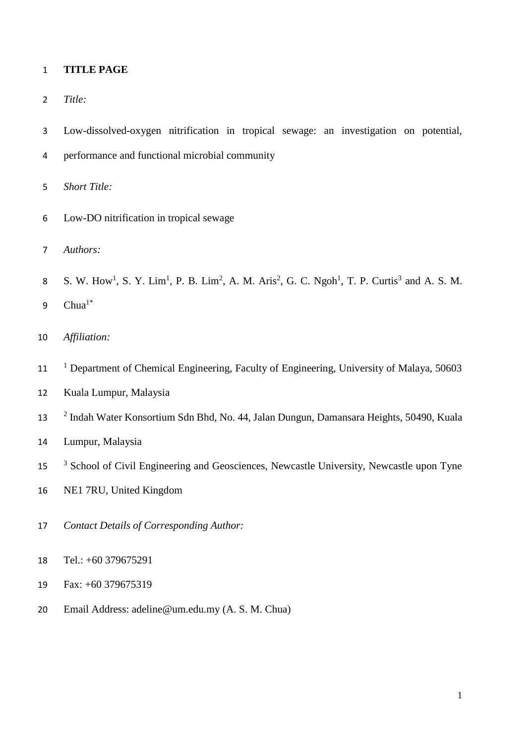## **TITLE PAGE**

- *Title:*
- Low-dissolved-oxygen nitrification in tropical sewage: an investigation on potential,
- performance and functional microbial community
- *Short Title:*
- Low-DO nitrification in tropical sewage
- *Authors:*
- 8 S. W. How<sup>1</sup>, S. Y. Lim<sup>1</sup>, P. B. Lim<sup>2</sup>, A. M. Aris<sup>2</sup>, G. C. Ngoh<sup>1</sup>, T. P. Curtis<sup>3</sup> and A. S. M.
- 9  $Chua^{1*}$
- *Affiliation:*
- <sup>1</sup> Department of Chemical Engineering, Faculty of Engineering, University of Malaya, 50603
- Kuala Lumpur, Malaysia
- <sup>2</sup> Indah Water Konsortium Sdn Bhd, No. 44, Jalan Dungun, Damansara Heights, 50490, Kuala
- Lumpur, Malaysia
- <sup>3</sup> School of Civil Engineering and Geosciences, Newcastle University, Newcastle upon Tyne
- NE1 7RU, United Kingdom
- *Contact Details of Corresponding Author:*
- Tel.: +60 379675291
- Fax: +60 379675319
- Email Address: adeline@um.edu.my (A. S. M. Chua)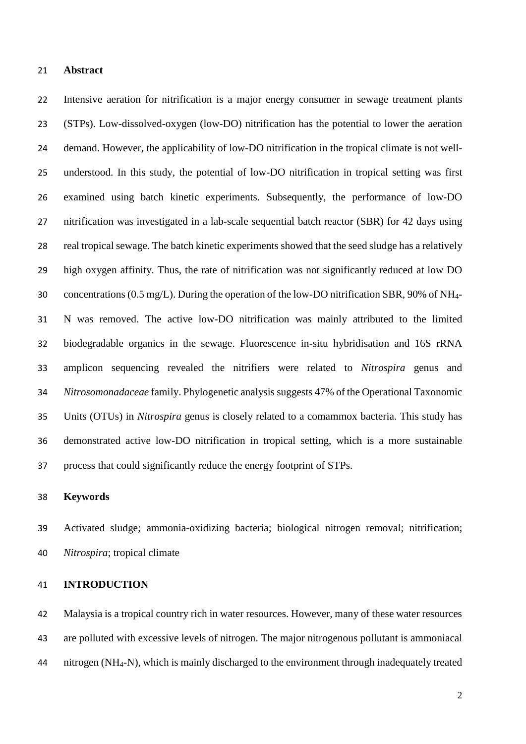## **Abstract**

 Intensive aeration for nitrification is a major energy consumer in sewage treatment plants (STPs). Low-dissolved-oxygen (low-DO) nitrification has the potential to lower the aeration demand. However, the applicability of low-DO nitrification in the tropical climate is not well- understood. In this study, the potential of low-DO nitrification in tropical setting was first examined using batch kinetic experiments. Subsequently, the performance of low-DO nitrification was investigated in a lab-scale sequential batch reactor (SBR) for 42 days using real tropical sewage. The batch kinetic experiments showed that the seed sludge has a relatively high oxygen affinity. Thus, the rate of nitrification was not significantly reduced at low DO concentrations (0.5 mg/L). During the operation of the low-DO nitrification SBR, 90% of NH4- N was removed. The active low-DO nitrification was mainly attributed to the limited biodegradable organics in the sewage. Fluorescence in-situ hybridisation and 16S rRNA amplicon sequencing revealed the nitrifiers were related to *Nitrospira* genus and *Nitrosomonadaceae* family. Phylogenetic analysis suggests 47% of the Operational Taxonomic Units (OTUs) in *Nitrospira* genus is closely related to a comammox bacteria. This study has demonstrated active low-DO nitrification in tropical setting, which is a more sustainable process that could significantly reduce the energy footprint of STPs.

### **Keywords**

 Activated sludge; ammonia-oxidizing bacteria; biological nitrogen removal; nitrification; *Nitrospira*; tropical climate

## **INTRODUCTION**

 Malaysia is a tropical country rich in water resources. However, many of these water resources are polluted with excessive levels of nitrogen. The major nitrogenous pollutant is ammoniacal nitrogen (NH4-N), which is mainly discharged to the environment through inadequately treated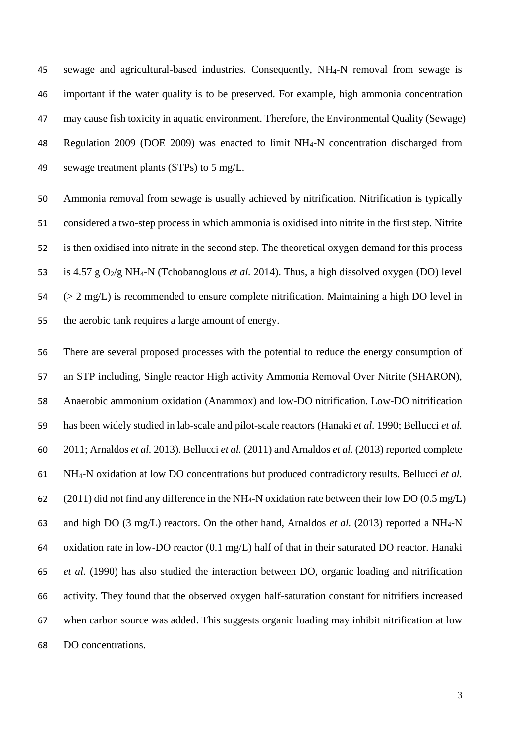sewage and agricultural-based industries. Consequently, NH4-N removal from sewage is important if the water quality is to be preserved. For example, high ammonia concentration may cause fish toxicity in aquatic environment. Therefore, the Environmental Quality (Sewage) Regulation 2009 (DOE 2009) was enacted to limit NH4-N concentration discharged from sewage treatment plants (STPs) to 5 mg/L.

 Ammonia removal from sewage is usually achieved by nitrification. Nitrification is typically considered a two-step process in which ammonia is oxidised into nitrite in the first step. Nitrite is then oxidised into nitrate in the second step. The theoretical oxygen demand for this process 53 is 4.57 g O<sub>2</sub>/g NH<sub>4</sub>-N (Tchobanoglous *et al.* 2014). Thus, a high dissolved oxygen (DO) level  $54 \leq 2$  mg/L) is recommended to ensure complete nitrification. Maintaining a high DO level in the aerobic tank requires a large amount of energy.

 There are several proposed processes with the potential to reduce the energy consumption of an STP including, Single reactor High activity Ammonia Removal Over Nitrite (SHARON), Anaerobic ammonium oxidation (Anammox) and low-DO nitrification. Low-DO nitrification has been widely studied in lab-scale and pilot-scale reactors (Hanaki *et al.* 1990; Bellucci *et al.* 2011; Arnaldos *et al.* 2013). Bellucci *et al.* (2011) and Arnaldos *et al.* (2013) reported complete NH4-N oxidation at low DO concentrations but produced contradictory results. Bellucci *et al.* 62 (2011) did not find any difference in the NH<sub>4</sub>-N oxidation rate between their low DO (0.5 mg/L) and high DO (3 mg/L) reactors. On the other hand, Arnaldos *et al.* (2013) reported a NH4-N oxidation rate in low-DO reactor (0.1 mg/L) half of that in their saturated DO reactor. Hanaki *et al.* (1990) has also studied the interaction between DO, organic loading and nitrification activity. They found that the observed oxygen half-saturation constant for nitrifiers increased when carbon source was added. This suggests organic loading may inhibit nitrification at low DO concentrations.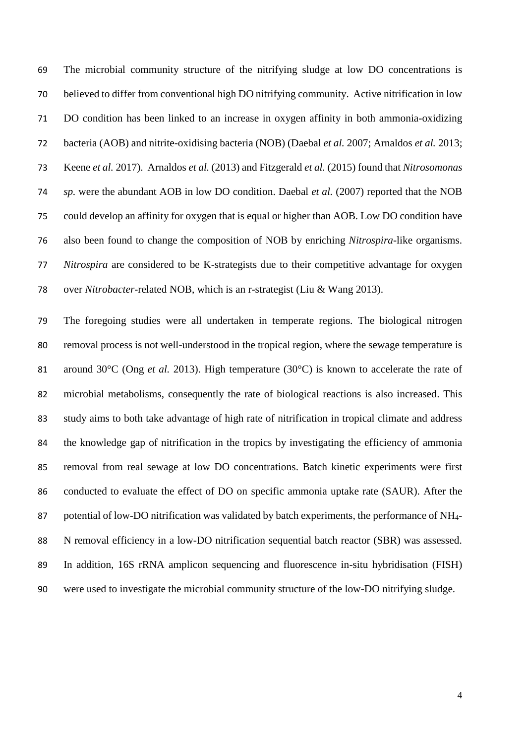The microbial community structure of the nitrifying sludge at low DO concentrations is believed to differ from conventional high DO nitrifying community. Active nitrification in low DO condition has been linked to an increase in oxygen affinity in both ammonia-oxidizing bacteria (AOB) and nitrite-oxidising bacteria (NOB) (Daebal *et al.* 2007; Arnaldos *et al.* 2013; Keene *et al.* 2017). Arnaldos *et al.* (2013) and Fitzgerald *et al.* (2015) found that *Nitrosomonas sp.* were the abundant AOB in low DO condition. Daebal *et al.* (2007) reported that the NOB could develop an affinity for oxygen that is equal or higher than AOB. Low DO condition have also been found to change the composition of NOB by enriching *Nitrospira*-like organisms. *Nitrospira* are considered to be K-strategists due to their competitive advantage for oxygen over *Nitrobacter*-related NOB, which is an r-strategist (Liu & Wang 2013).

 The foregoing studies were all undertaken in temperate regions. The biological nitrogen removal process is not well-understood in the tropical region, where the sewage temperature is 81 around 30°C (Ong *et al.* 2013). High temperature (30°C) is known to accelerate the rate of microbial metabolisms, consequently the rate of biological reactions is also increased. This study aims to both take advantage of high rate of nitrification in tropical climate and address the knowledge gap of nitrification in the tropics by investigating the efficiency of ammonia removal from real sewage at low DO concentrations. Batch kinetic experiments were first conducted to evaluate the effect of DO on specific ammonia uptake rate (SAUR). After the potential of low-DO nitrification was validated by batch experiments, the performance of NH4- N removal efficiency in a low-DO nitrification sequential batch reactor (SBR) was assessed. In addition, 16S rRNA amplicon sequencing and fluorescence in-situ hybridisation (FISH) were used to investigate the microbial community structure of the low-DO nitrifying sludge.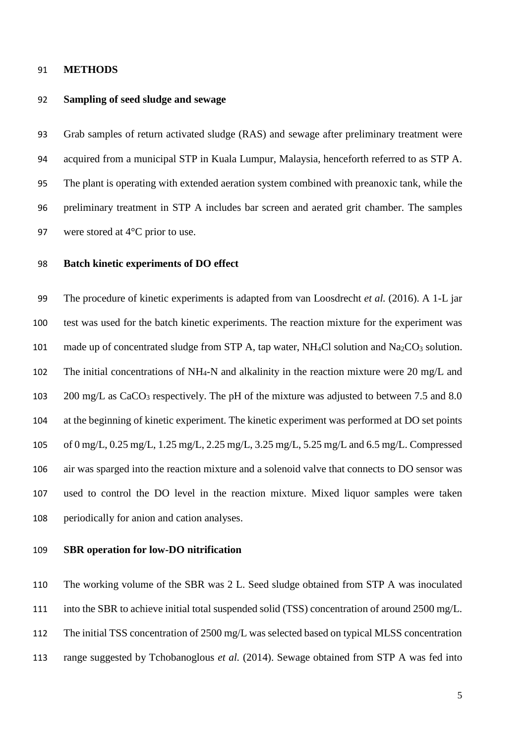### **METHODS**

## **Sampling of seed sludge and sewage**

 Grab samples of return activated sludge (RAS) and sewage after preliminary treatment were acquired from a municipal STP in Kuala Lumpur, Malaysia, henceforth referred to as STP A. The plant is operating with extended aeration system combined with preanoxic tank, while the preliminary treatment in STP A includes bar screen and aerated grit chamber. The samples 97 were stored at 4<sup>o</sup>C prior to use.

## **Batch kinetic experiments of DO effect**

 The procedure of kinetic experiments is adapted from van Loosdrecht *et al.* (2016). A 1-L jar test was used for the batch kinetic experiments. The reaction mixture for the experiment was 101 made up of concentrated sludge from STP A, tap water, NH<sub>4</sub>Cl solution and Na<sub>2</sub>CO<sub>3</sub> solution. 102 The initial concentrations of NH<sub>4</sub>-N and alkalinity in the reaction mixture were 20 mg/L and 103 200 mg/L as CaCO<sub>3</sub> respectively. The pH of the mixture was adjusted to between 7.5 and 8.0 at the beginning of kinetic experiment. The kinetic experiment was performed at DO set points of 0 mg/L, 0.25 mg/L, 1.25 mg/L, 2.25 mg/L, 3.25 mg/L, 5.25 mg/L and 6.5 mg/L. Compressed air was sparged into the reaction mixture and a solenoid valve that connects to DO sensor was used to control the DO level in the reaction mixture. Mixed liquor samples were taken periodically for anion and cation analyses.

# **SBR operation for low-DO nitrification**

The working volume of the SBR was 2 L. Seed sludge obtained from STP A was inoculated

- into the SBR to achieve initial total suspended solid (TSS) concentration of around 2500 mg/L.
- The initial TSS concentration of 2500 mg/L was selected based on typical MLSS concentration
- range suggested by Tchobanoglous *et al.* (2014). Sewage obtained from STP A was fed into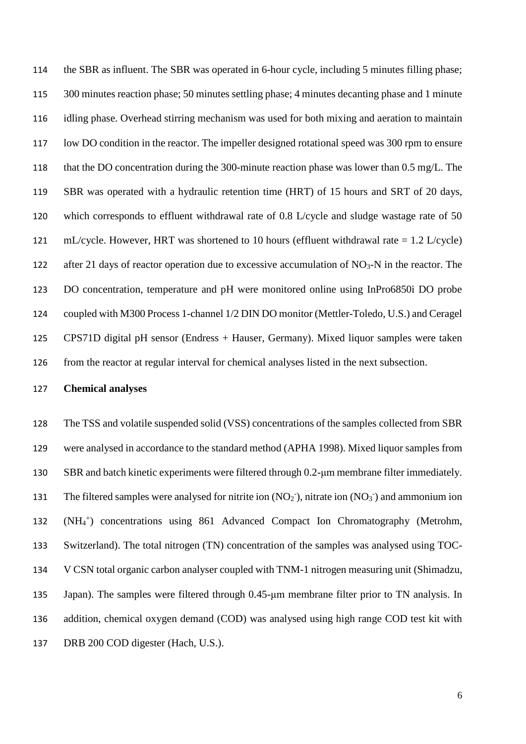the SBR as influent. The SBR was operated in 6-hour cycle, including 5 minutes filling phase; 300 minutes reaction phase; 50 minutes settling phase; 4 minutes decanting phase and 1 minute idling phase. Overhead stirring mechanism was used for both mixing and aeration to maintain low DO condition in the reactor. The impeller designed rotational speed was 300 rpm to ensure that the DO concentration during the 300-minute reaction phase was lower than 0.5 mg/L. The SBR was operated with a hydraulic retention time (HRT) of 15 hours and SRT of 20 days, which corresponds to effluent withdrawal rate of 0.8 L/cycle and sludge wastage rate of 50 121 mL/cycle. However, HRT was shortened to 10 hours (effluent withdrawal rate  $= 1.2$  L/cycle) 122 after 21 days of reactor operation due to excessive accumulation of  $NO<sub>3</sub>-N$  in the reactor. The DO concentration, temperature and pH were monitored online using InPro6850i DO probe coupled with M300 Process 1-channel 1/2 DIN DO monitor (Mettler-Toledo, U.S.) and Ceragel CPS71D digital pH sensor (Endress + Hauser, Germany). Mixed liquor samples were taken from the reactor at regular interval for chemical analyses listed in the next subsection.

# **Chemical analyses**

 The TSS and volatile suspended solid (VSS) concentrations of the samples collected from SBR were analysed in accordance to the standard method (APHA 1998). Mixed liquor samples from SBR and batch kinetic experiments were filtered through 0.2-μm membrane filter immediately. 131 The filtered samples were analysed for nitrite ion  $(NO<sub>2</sub>)$ , nitrate ion  $(NO<sub>3</sub>)$  and ammonium ion 132 (NH<sub>4</sub><sup>+</sup>) concentrations using 861 Advanced Compact Ion Chromatography (Metrohm, Switzerland). The total nitrogen (TN) concentration of the samples was analysed using TOC- V CSN total organic carbon analyser coupled with TNM-1 nitrogen measuring unit (Shimadzu, Japan). The samples were filtered through 0.45-μm membrane filter prior to TN analysis. In addition, chemical oxygen demand (COD) was analysed using high range COD test kit with DRB 200 COD digester (Hach, U.S.).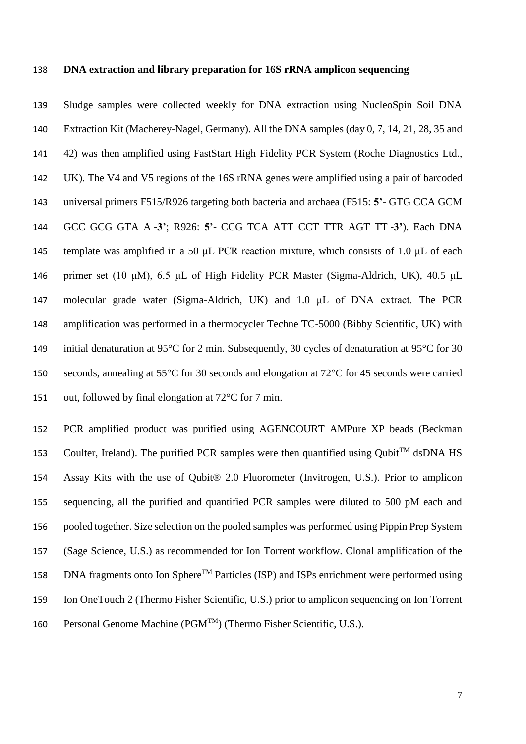## **DNA extraction and library preparation for 16S rRNA amplicon sequencing**

 Sludge samples were collected weekly for DNA extraction using NucleoSpin Soil DNA Extraction Kit (Macherey-Nagel, Germany). All the DNA samples (day 0, 7, 14, 21, 28, 35 and 42) was then amplified using FastStart High Fidelity PCR System (Roche Diagnostics Ltd., UK). The V4 and V5 regions of the 16S rRNA genes were amplified using a pair of barcoded universal primers F515/R926 targeting both bacteria and archaea (F515: **5'**- GTG CCA GCM GCC GCG GTA A **-3'**; R926: **5'-** CCG TCA ATT CCT TTR AGT TT **-3'**). Each DNA template was amplified in a 50 μL PCR reaction mixture, which consists of 1.0 μL of each primer set (10 μM), 6.5 μL of High Fidelity PCR Master (Sigma-Aldrich, UK), 40.5 μL molecular grade water (Sigma-Aldrich, UK) and 1.0 μL of DNA extract. The PCR amplification was performed in a thermocycler Techne TC-5000 (Bibby Scientific, UK) with 149 initial denaturation at 95°C for 2 min. Subsequently, 30 cycles of denaturation at 95°C for 30 seconds, annealing at 55°C for 30 seconds and elongation at 72°C for 45 seconds were carried out, followed by final elongation at 72°C for 7 min.

 PCR amplified product was purified using AGENCOURT AMPure XP beads (Beckman 153 Coulter, Ireland). The purified PCR samples were then quantified using Qubit<sup>TM</sup> dsDNA HS Assay Kits with the use of Qubit® 2.0 Fluorometer (Invitrogen, U.S.). Prior to amplicon sequencing, all the purified and quantified PCR samples were diluted to 500 pM each and pooled together. Size selection on the pooled samples was performed using Pippin Prep System (Sage Science, U.S.) as recommended for Ion Torrent workflow. Clonal amplification of the 158 DNA fragments onto Ion Sphere<sup>TM</sup> Particles (ISP) and ISPs enrichment were performed using Ion OneTouch 2 (Thermo Fisher Scientific, U.S.) prior to amplicon sequencing on Ion Torrent 160 Personal Genome Machine ( $PGM^{TM}$ ) (Thermo Fisher Scientific, U.S.).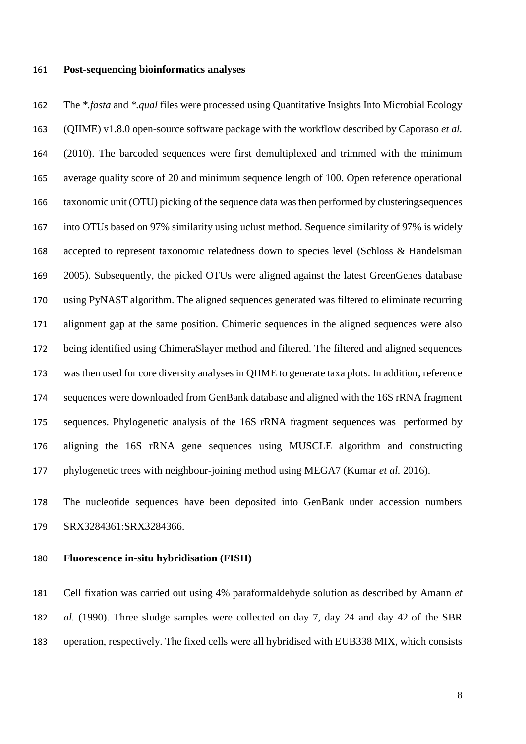### **Post-sequencing bioinformatics analyses**

 The *\*.fasta* and *\*.qual* files were processed using Quantitative Insights Into Microbial Ecology (QIIME) v1.8.0 open-source software package with the workflow described by Caporaso *et al.* (2010). The barcoded sequences were first demultiplexed and trimmed with the minimum average quality score of 20 and minimum sequence length of 100. Open reference operational taxonomic unit (OTU) picking of the sequence data wasthen performed by clusteringsequences into OTUs based on 97% similarity using uclust method. Sequence similarity of 97% is widely accepted to represent taxonomic relatedness down to species level (Schloss & Handelsman 2005). Subsequently, the picked OTUs were aligned against the latest GreenGenes database using PyNAST algorithm. The aligned sequences generated was filtered to eliminate recurring alignment gap at the same position. Chimeric sequences in the aligned sequences were also being identified using ChimeraSlayer method and filtered. The filtered and aligned sequences was then used for core diversity analyses in QIIME to generate taxa plots. In addition, reference sequences were downloaded from GenBank database and aligned with the 16S rRNA fragment sequences. Phylogenetic analysis of the 16S rRNA fragment sequences was performed by aligning the 16S rRNA gene sequences using MUSCLE algorithm and constructing phylogenetic trees with neighbour-joining method using MEGA7 (Kumar *et al.* 2016).

 The nucleotide sequences have been deposited into GenBank under accession numbers SRX3284361:SRX3284366.

# **Fluorescence in-situ hybridisation (FISH)**

 Cell fixation was carried out using 4% paraformaldehyde solution as described by Amann *et al.* (1990). Three sludge samples were collected on day 7, day 24 and day 42 of the SBR operation, respectively. The fixed cells were all hybridised with EUB338 MIX, which consists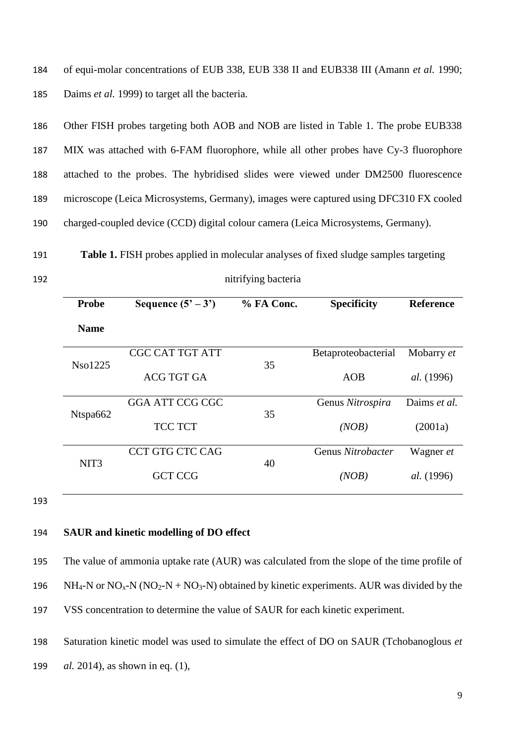184 of equi-molar concentrations of EUB 338, EUB 338 II and EUB338 III (Amann *et al.* 1990; 185 Daims *et al.* 1999) to target all the bacteria.

 Other FISH probes targeting both AOB and NOB are listed in Table 1. The probe EUB338 MIX was attached with 6-FAM fluorophore, while all other probes have Cy-3 fluorophore attached to the probes. The hybridised slides were viewed under DM2500 fluorescence microscope (Leica Microsystems, Germany), images were captured using DFC310 FX cooled charged-coupled device (CCD) digital colour camera (Leica Microsystems, Germany).

191 **Table 1.** FISH probes applied in molecular analyses of fixed sludge samples targeting

| 192 | nitrifying bacteria |
|-----|---------------------|
|     |                     |

| <b>Probe</b>     | Sequence $(5' - 3')$   | % FA Conc. | <b>Specificity</b>  | <b>Reference</b>  |
|------------------|------------------------|------------|---------------------|-------------------|
| <b>Name</b>      |                        |            |                     |                   |
|                  | <b>CGC CAT TGT ATT</b> | 35         | Betaproteobacterial | Mobarry et        |
| Nso1225          | <b>ACG TGT GA</b>      |            | <b>AOB</b>          | <i>al.</i> (1996) |
| Ntspa662         | <b>GGA ATT CCG CGC</b> |            | Genus Nitrospira    | Daims et al.      |
|                  | <b>TCC TCT</b>         | 35         | (NOB)               | (2001a)           |
|                  | <b>CCT GTG CTC CAG</b> |            | Genus Nitrobacter   | Wagner et         |
| NIT <sub>3</sub> | <b>GCT CCG</b>         | 40         | (NOB)               | <i>al.</i> (1996) |

193

# 194 **SAUR and kinetic modelling of DO effect**

| 195 | The value of ammonia uptake rate (AUR) was calculated from the slope of the time profile of                                       |
|-----|-----------------------------------------------------------------------------------------------------------------------------------|
| 196 | $NH_4$ -N or NO <sub>x</sub> -N (NO <sub>2</sub> -N + NO <sub>3</sub> -N) obtained by kinetic experiments. AUR was divided by the |
| 197 | VSS concentration to determine the value of SAUR for each kinetic experiment.                                                     |

198 Saturation kinetic model was used to simulate the effect of DO on SAUR (Tchobanoglous *et* 

199 *al.* 2014), as shown in eq. (1),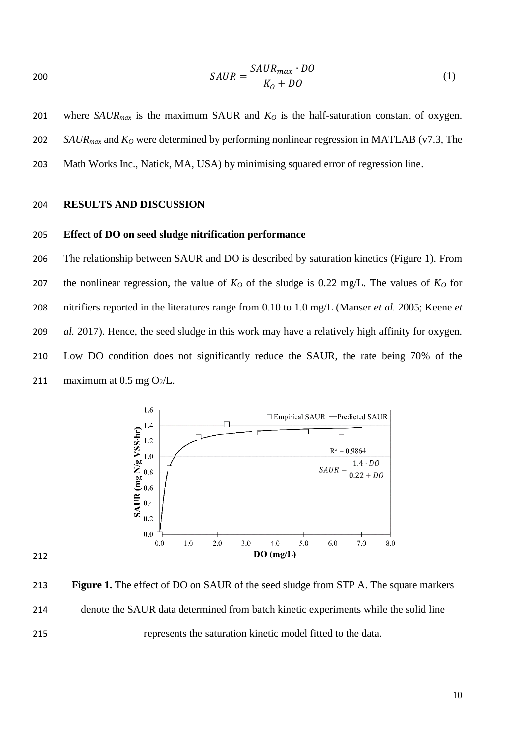$$
SAUR = \frac{SAUR_{max} \cdot DO}{K_0 + DO} \tag{1}
$$

 where *SAURmax* is the maximum SAUR and *K<sup>O</sup>* is the half-saturation constant of oxygen. *SAURmax* and *K<sup>O</sup>* were determined by performing nonlinear regression in MATLAB (v7.3, The Math Works Inc., Natick, MA, USA) by minimising squared error of regression line.

# **RESULTS AND DISCUSSION**

# **Effect of DO on seed sludge nitrification performance**

 The relationship between SAUR and DO is described by saturation kinetics (Figure 1). From 207 the nonlinear regression, the value of  $K<sub>O</sub>$  of the sludge is 0.22 mg/L. The values of  $K<sub>O</sub>$  for nitrifiers reported in the literatures range from 0.10 to 1.0 mg/L (Manser *et al.* 2005; Keene *et al.* 2017). Hence, the seed sludge in this work may have a relatively high affinity for oxygen. Low DO condition does not significantly reduce the SAUR, the rate being 70% of the 211 maximum at  $0.5$  mg  $O_2/L$ .



 **Figure 1.** The effect of DO on SAUR of the seed sludge from STP A. The square markers denote the SAUR data determined from batch kinetic experiments while the solid line represents the saturation kinetic model fitted to the data.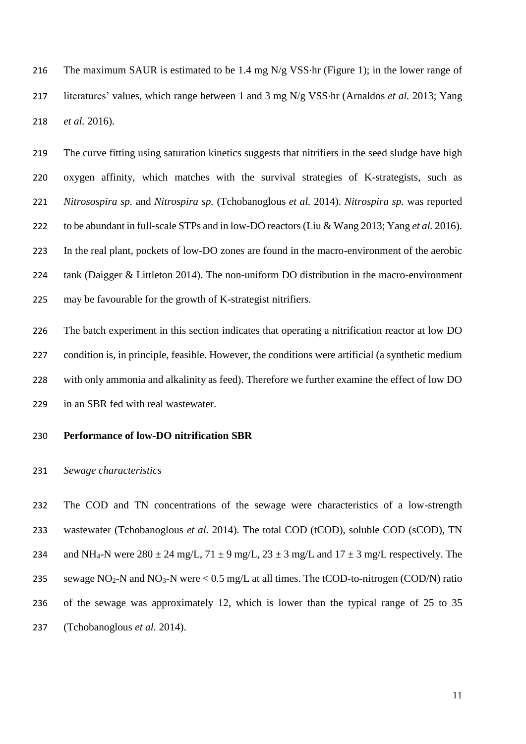The maximum SAUR is estimated to be 1.4 mg N/g VSS∙hr (Figure 1); in the lower range of literatures' values, which range between 1 and 3 mg N/g VSS∙hr (Arnaldos *et al.* 2013; Yang *et al.* 2016).

 The curve fitting using saturation kinetics suggests that nitrifiers in the seed sludge have high oxygen affinity, which matches with the survival strategies of K-strategists, such as *Nitrosospira sp.* and *Nitrospira sp.* (Tchobanoglous *et al.* 2014). *Nitrospira sp.* was reported to be abundant in full-scale STPs and in low-DO reactors (Liu & Wang 2013; Yang *et al.* 2016). In the real plant, pockets of low-DO zones are found in the macro-environment of the aerobic tank (Daigger & Littleton 2014). The non-uniform DO distribution in the macro-environment may be favourable for the growth of K-strategist nitrifiers.

 The batch experiment in this section indicates that operating a nitrification reactor at low DO condition is, in principle, feasible. However, the conditions were artificial (a synthetic medium with only ammonia and alkalinity as feed). Therefore we further examine the effect of low DO in an SBR fed with real wastewater.

# **Performance of low-DO nitrification SBR**

# *Sewage characteristics*

 The COD and TN concentrations of the sewage were characteristics of a low-strength wastewater (Tchobanoglous *et al.* 2014). The total COD (tCOD), soluble COD (sCOD), TN 234 and NH<sub>4</sub>-N were  $280 \pm 24$  mg/L,  $71 \pm 9$  mg/L,  $23 \pm 3$  mg/L and  $17 \pm 3$  mg/L respectively. The 235 sewage  $NO<sub>2</sub>$ -N and  $NO<sub>3</sub>$ -N were  $< 0.5$  mg/L at all times. The tCOD-to-nitrogen (COD/N) ratio of the sewage was approximately 12, which is lower than the typical range of 25 to 35 (Tchobanoglous *et al.* 2014).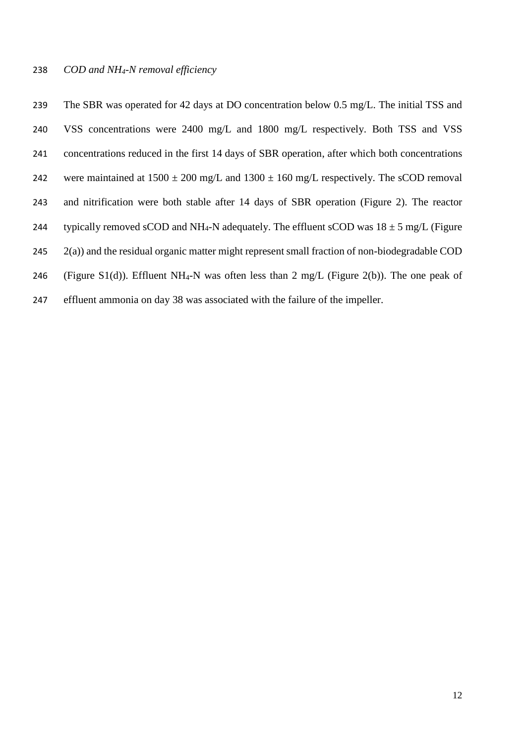### *COD and NH4-N removal efficiency*

 The SBR was operated for 42 days at DO concentration below 0.5 mg/L. The initial TSS and VSS concentrations were 2400 mg/L and 1800 mg/L respectively. Both TSS and VSS concentrations reduced in the first 14 days of SBR operation, after which both concentrations 242 were maintained at  $1500 \pm 200$  mg/L and  $1300 \pm 160$  mg/L respectively. The sCOD removal and nitrification were both stable after 14 days of SBR operation (Figure 2). The reactor 244 typically removed sCOD and NH<sub>4</sub>-N adequately. The effluent sCOD was  $18 \pm 5$  mg/L (Figure 245 2(a)) and the residual organic matter might represent small fraction of non-biodegradable COD 246 (Figure S1(d)). Effluent NH<sub>4</sub>-N was often less than 2 mg/L (Figure 2(b)). The one peak of

effluent ammonia on day 38 was associated with the failure of the impeller.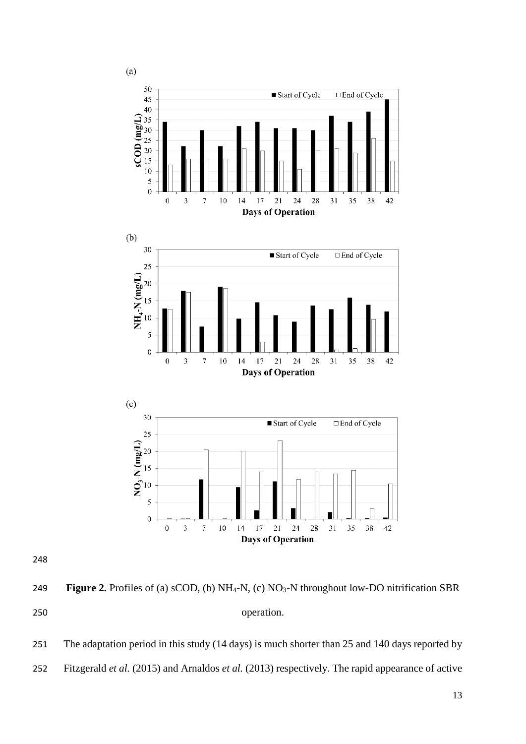

 **Figure 2.** Profiles of (a) sCOD, (b) NH4-N, (c) NO3-N throughout low-DO nitrification SBR operation.

251 The adaptation period in this study (14 days) is much shorter than 25 and 140 days reported by Fitzgerald *et al.* (2015) and Arnaldos *et al.* (2013) respectively. The rapid appearance of active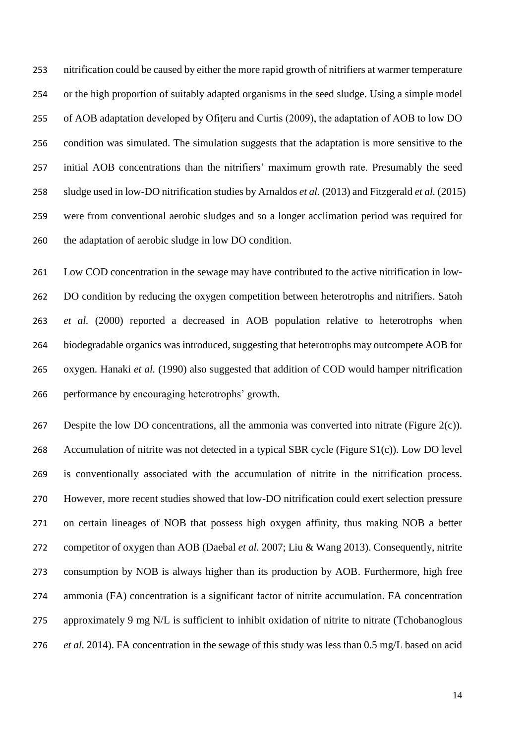nitrification could be caused by either the more rapid growth of nitrifiers at warmer temperature or the high proportion of suitably adapted organisms in the seed sludge. Using a simple model 255 of AOB adaptation developed by Ofiteru and Curtis (2009), the adaptation of AOB to low DO condition was simulated. The simulation suggests that the adaptation is more sensitive to the initial AOB concentrations than the nitrifiers' maximum growth rate. Presumably the seed sludge used in low-DO nitrification studies by Arnaldos *et al.* (2013) and Fitzgerald *et al.* (2015) were from conventional aerobic sludges and so a longer acclimation period was required for the adaptation of aerobic sludge in low DO condition.

 Low COD concentration in the sewage may have contributed to the active nitrification in low- DO condition by reducing the oxygen competition between heterotrophs and nitrifiers. Satoh *et al.* (2000) reported a decreased in AOB population relative to heterotrophs when biodegradable organics was introduced, suggesting that heterotrophs may outcompete AOB for oxygen. Hanaki *et al.* (1990) also suggested that addition of COD would hamper nitrification performance by encouraging heterotrophs' growth.

 Despite the low DO concentrations, all the ammonia was converted into nitrate (Figure 2(c)). Accumulation of nitrite was not detected in a typical SBR cycle (Figure S1(c)). Low DO level is conventionally associated with the accumulation of nitrite in the nitrification process. However, more recent studies showed that low-DO nitrification could exert selection pressure on certain lineages of NOB that possess high oxygen affinity, thus making NOB a better competitor of oxygen than AOB (Daebal *et al.* 2007; Liu & Wang 2013). Consequently, nitrite consumption by NOB is always higher than its production by AOB. Furthermore, high free ammonia (FA) concentration is a significant factor of nitrite accumulation. FA concentration 275 approximately 9 mg N/L is sufficient to inhibit oxidation of nitrite to nitrate (Tchobanoglous *et al.* 2014). FA concentration in the sewage of this study was less than 0.5 mg/L based on acid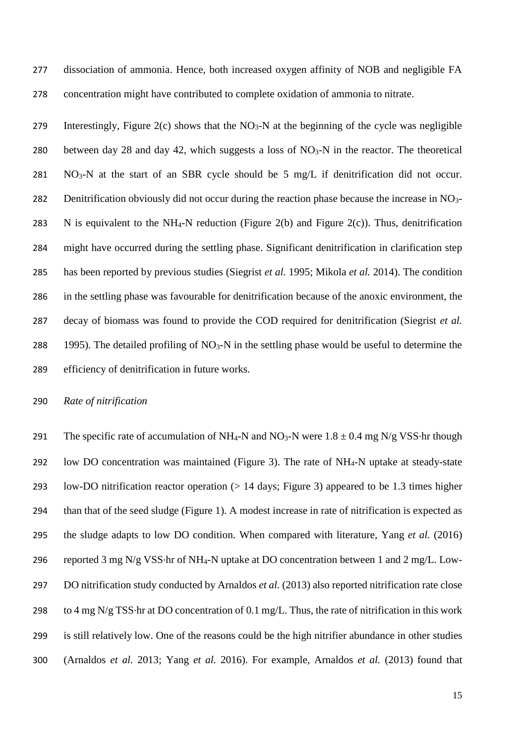dissociation of ammonia. Hence, both increased oxygen affinity of NOB and negligible FA concentration might have contributed to complete oxidation of ammonia to nitrate.

279 Interestingly, Figure 2(c) shows that the NO<sub>3</sub>-N at the beginning of the cycle was negligible 280 between day 28 and day 42, which suggests a loss of  $NO<sub>3</sub>-N$  in the reactor. The theoretical NO<sub>3</sub>-N at the start of an SBR cycle should be 5 mg/L if denitrification did not occur. 282 Denitrification obviously did not occur during the reaction phase because the increase in NO<sub>3</sub>-283 N is equivalent to the NH<sub>4</sub>-N reduction (Figure 2(b) and Figure 2(c)). Thus, denitrification might have occurred during the settling phase. Significant denitrification in clarification step has been reported by previous studies (Siegrist *et al.* 1995; Mikola *et al.* 2014). The condition in the settling phase was favourable for denitrification because of the anoxic environment, the decay of biomass was found to provide the COD required for denitrification (Siegrist *et al.* 288 1995). The detailed profiling of  $NO<sub>3</sub>-N$  in the settling phase would be useful to determine the efficiency of denitrification in future works.

*Rate of nitrification*

291 The specific rate of accumulation of NH<sub>4</sub>-N and NO<sub>3</sub>-N were  $1.8 \pm 0.4$  mg N/g VSS⋅hr though low DO concentration was maintained (Figure 3). The rate of NH4-N uptake at steady-state low-DO nitrification reactor operation (> 14 days; Figure 3) appeared to be 1.3 times higher than that of the seed sludge (Figure 1). A modest increase in rate of nitrification is expected as the sludge adapts to low DO condition. When compared with literature, Yang *et al.* (2016) reported 3 mg N/g VSS∙hr of NH4-N uptake at DO concentration between 1 and 2 mg/L. Low- DO nitrification study conducted by Arnaldos *et al.* (2013) also reported nitrification rate close to 4 mg N/g TSS∙hr at DO concentration of 0.1 mg/L. Thus, the rate of nitrification in this work is still relatively low. One of the reasons could be the high nitrifier abundance in other studies (Arnaldos *et al.* 2013; Yang *et al.* 2016). For example, Arnaldos *et al.* (2013) found that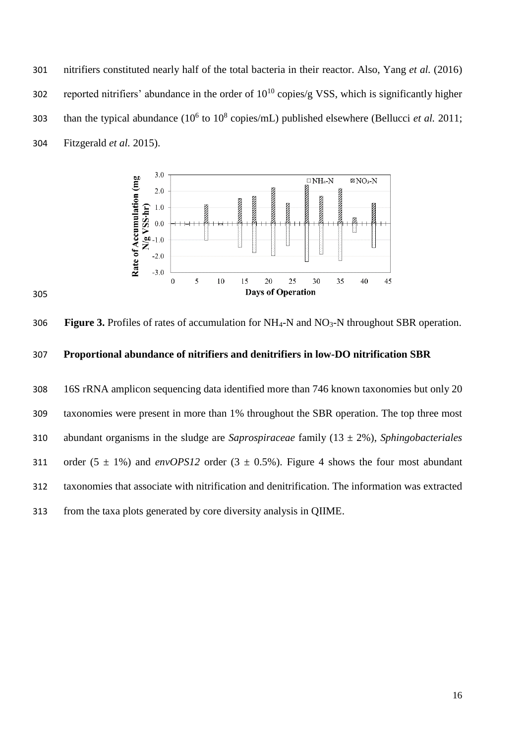nitrifiers constituted nearly half of the total bacteria in their reactor. Also, Yang *et al.* (2016) 302 reported nitrifiers' abundance in the order of  $10^{10}$  copies/g VSS, which is significantly higher 303 than the typical abundance  $(10^6 \text{ to } 10^8 \text{ copies/mL})$  published elsewhere (Bellucci *et al.* 2011; Fitzgerald *et al.* 2015).



**Figure 3.** Profiles of rates of accumulation for NH4-N and NO3-N throughout SBR operation.

# **Proportional abundance of nitrifiers and denitrifiers in low-DO nitrification SBR**

 16S rRNA amplicon sequencing data identified more than 746 known taxonomies but only 20 taxonomies were present in more than 1% throughout the SBR operation. The top three most abundant organisms in the sludge are *Saprospiraceae* family (13 ± 2%), *Sphingobacteriales* 311 order  $(5 \pm 1\%)$  and *envOPS12* order  $(3 \pm 0.5\%)$ . Figure 4 shows the four most abundant taxonomies that associate with nitrification and denitrification. The information was extracted from the taxa plots generated by core diversity analysis in QIIME.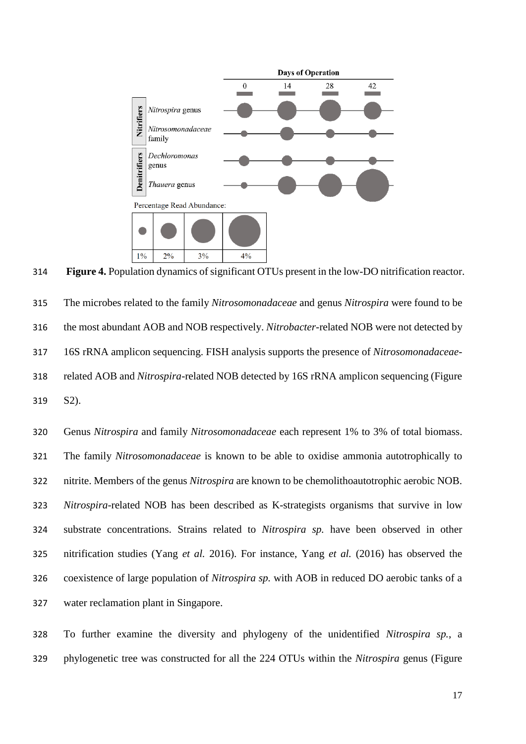

**Figure 4.** Population dynamics of significant OTUs present in the low-DO nitrification reactor.

 The microbes related to the family *Nitrosomonadaceae* and genus *Nitrospira* were found to be the most abundant AOB and NOB respectively. *Nitrobacter*-related NOB were not detected by 16S rRNA amplicon sequencing. FISH analysis supports the presence of *Nitrosomonadaceae*- related AOB and *Nitrospira*-related NOB detected by 16S rRNA amplicon sequencing (Figure S2).

 Genus *Nitrospira* and family *Nitrosomonadaceae* each represent 1% to 3% of total biomass. The family *Nitrosomonadaceae* is known to be able to oxidise ammonia autotrophically to nitrite. Members of the genus *Nitrospira* are known to be chemolithoautotrophic aerobic NOB. *Nitrospira*-related NOB has been described as K-strategists organisms that survive in low substrate concentrations. Strains related to *Nitrospira sp.* have been observed in other nitrification studies (Yang *et al.* 2016). For instance, Yang *et al.* (2016) has observed the coexistence of large population of *Nitrospira sp.* with AOB in reduced DO aerobic tanks of a water reclamation plant in Singapore.

 To further examine the diversity and phylogeny of the unidentified *Nitrospira sp.*, a phylogenetic tree was constructed for all the 224 OTUs within the *Nitrospira* genus (Figure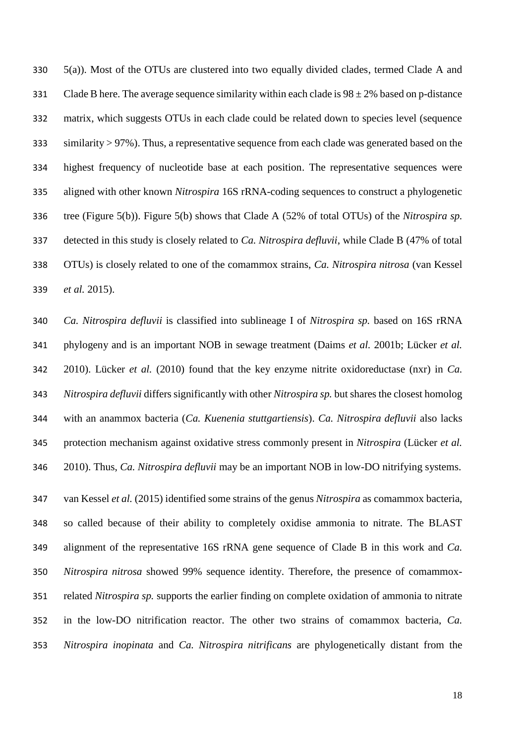5(a)). Most of the OTUs are clustered into two equally divided clades, termed Clade A and 331 Clade B here. The average sequence similarity within each clade is  $98 \pm 2\%$  based on p-distance matrix, which suggests OTUs in each clade could be related down to species level (sequence similarity > 97%). Thus, a representative sequence from each clade was generated based on the highest frequency of nucleotide base at each position. The representative sequences were aligned with other known *Nitrospira* 16S rRNA-coding sequences to construct a phylogenetic tree (Figure 5(b)). Figure 5(b) shows that Clade A (52% of total OTUs) of the *Nitrospira sp.* detected in this study is closely related to *Ca. Nitrospira defluvii*, while Clade B (47% of total OTUs) is closely related to one of the comammox strains, *Ca. Nitrospira nitrosa* (van Kessel *et al.* 2015).

 *Ca. Nitrospira defluvii* is classified into sublineage I of *Nitrospira sp.* based on 16S rRNA phylogeny and is an important NOB in sewage treatment (Daims *et al.* 2001b; Lücker *et al.* 2010). Lücker *et al.* (2010) found that the key enzyme nitrite oxidoreductase (nxr) in *Ca. Nitrospira defluvii* differs significantly with other *Nitrospira sp.* but shares the closest homolog with an anammox bacteria (*Ca. Kuenenia stuttgartiensis*). *Ca. Nitrospira defluvii* also lacks protection mechanism against oxidative stress commonly present in *Nitrospira* (Lücker *et al.* 2010). Thus, *Ca. Nitrospira defluvii* may be an important NOB in low-DO nitrifying systems.

 van Kessel *et al.* (2015) identified some strains of the genus *Nitrospira* as comammox bacteria, so called because of their ability to completely oxidise ammonia to nitrate. The BLAST alignment of the representative 16S rRNA gene sequence of Clade B in this work and *Ca. Nitrospira nitrosa* showed 99% sequence identity. Therefore, the presence of comammox- related *Nitrospira sp.* supports the earlier finding on complete oxidation of ammonia to nitrate in the low-DO nitrification reactor. The other two strains of comammox bacteria, *Ca. Nitrospira inopinata* and *Ca. Nitrospira nitrificans* are phylogenetically distant from the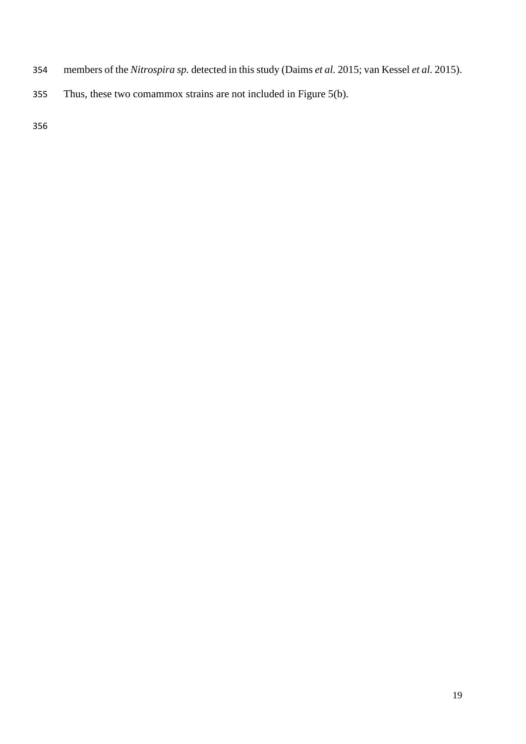- members of the *Nitrospira sp.* detected in this study (Daims *et al.* 2015; van Kessel *et al.* 2015).
- Thus, these two comammox strains are not included in Figure 5(b).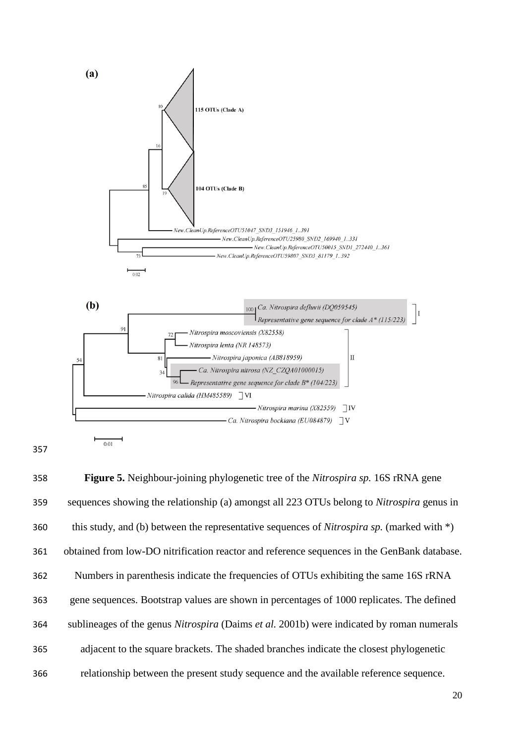

 **Figure 5.** Neighbour-joining phylogenetic tree of the *Nitrospira sp.* 16S rRNA gene sequences showing the relationship (a) amongst all 223 OTUs belong to *Nitrospira* genus in this study, and (b) between the representative sequences of *Nitrospira sp.* (marked with \*) obtained from low-DO nitrification reactor and reference sequences in the GenBank database. Numbers in parenthesis indicate the frequencies of OTUs exhibiting the same 16S rRNA gene sequences. Bootstrap values are shown in percentages of 1000 replicates. The defined sublineages of the genus *Nitrospira* (Daims *et al.* 2001b) were indicated by roman numerals adjacent to the square brackets. The shaded branches indicate the closest phylogenetic relationship between the present study sequence and the available reference sequence.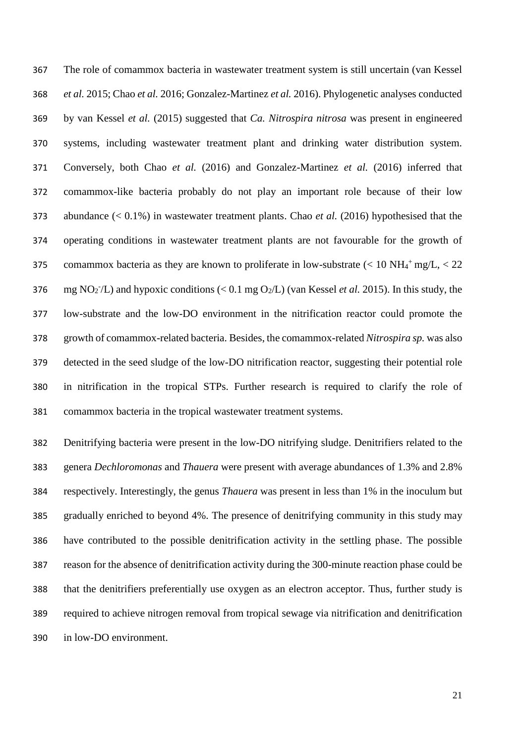The role of comammox bacteria in wastewater treatment system is still uncertain (van Kessel *et al.* 2015; Chao *et al.* 2016; Gonzalez-Martinez *et al.* 2016). Phylogenetic analyses conducted by van Kessel *et al.* (2015) suggested that *Ca. Nitrospira nitrosa* was present in engineered systems, including wastewater treatment plant and drinking water distribution system. Conversely, both Chao *et al.* (2016) and Gonzalez-Martinez *et al.* (2016) inferred that comammox-like bacteria probably do not play an important role because of their low abundance (< 0.1%) in wastewater treatment plants. Chao *et al.* (2016) hypothesised that the operating conditions in wastewater treatment plants are not favourable for the growth of 375 comammox bacteria as they are known to proliferate in low-substrate  $\left($  < 10 NH<sub>4</sub><sup>+</sup>mg/L, < 22 376 mg NO<sub>2</sub><sup>-</sup>/L) and hypoxic conditions (< 0.1 mg O<sub>2</sub>/L) (van Kessel *et al.* 2015). In this study, the low-substrate and the low-DO environment in the nitrification reactor could promote the growth of comammox-related bacteria. Besides, the comammox-related *Nitrospira sp.* was also detected in the seed sludge of the low-DO nitrification reactor, suggesting their potential role in nitrification in the tropical STPs. Further research is required to clarify the role of comammox bacteria in the tropical wastewater treatment systems.

 Denitrifying bacteria were present in the low-DO nitrifying sludge. Denitrifiers related to the genera *Dechloromonas* and *Thauera* were present with average abundances of 1.3% and 2.8% respectively. Interestingly, the genus *Thauera* was present in less than 1% in the inoculum but gradually enriched to beyond 4%. The presence of denitrifying community in this study may have contributed to the possible denitrification activity in the settling phase. The possible reason for the absence of denitrification activity during the 300-minute reaction phase could be that the denitrifiers preferentially use oxygen as an electron acceptor. Thus, further study is required to achieve nitrogen removal from tropical sewage via nitrification and denitrification in low-DO environment.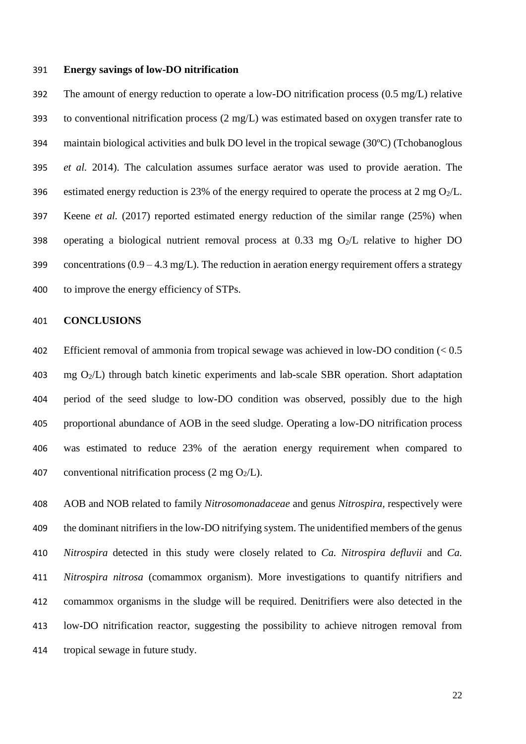### **Energy savings of low-DO nitrification**

 The amount of energy reduction to operate a low-DO nitrification process (0.5 mg/L) relative to conventional nitrification process (2 mg/L) was estimated based on oxygen transfer rate to maintain biological activities and bulk DO level in the tropical sewage (30ºC) (Tchobanoglous *et al.* 2014). The calculation assumes surface aerator was used to provide aeration. The 396 estimated energy reduction is 23% of the energy required to operate the process at 2 mg  $O_2/L$ . Keene *et al.* (2017) reported estimated energy reduction of the similar range (25%) when 398 operating a biological nutrient removal process at 0.33 mg  $O_2/L$  relative to higher DO 399 concentrations  $(0.9 - 4.3 \text{ mg/L})$ . The reduction in aeration energy requirement offers a strategy to improve the energy efficiency of STPs.

## **CONCLUSIONS**

 Efficient removal of ammonia from tropical sewage was achieved in low-DO condition (< 0.5 403 mg  $O_2/L$ ) through batch kinetic experiments and lab-scale SBR operation. Short adaptation period of the seed sludge to low-DO condition was observed, possibly due to the high proportional abundance of AOB in the seed sludge. Operating a low-DO nitrification process was estimated to reduce 23% of the aeration energy requirement when compared to 407 conventional nitrification process  $(2 \text{ mg } O_2/L)$ .

 AOB and NOB related to family *Nitrosomonadaceae* and genus *Nitrospira,* respectively were the dominant nitrifiers in the low-DO nitrifying system. The unidentified members of the genus *Nitrospira* detected in this study were closely related to *Ca. Nitrospira defluvii* and *Ca. Nitrospira nitrosa* (comammox organism). More investigations to quantify nitrifiers and comammox organisms in the sludge will be required. Denitrifiers were also detected in the low-DO nitrification reactor, suggesting the possibility to achieve nitrogen removal from tropical sewage in future study.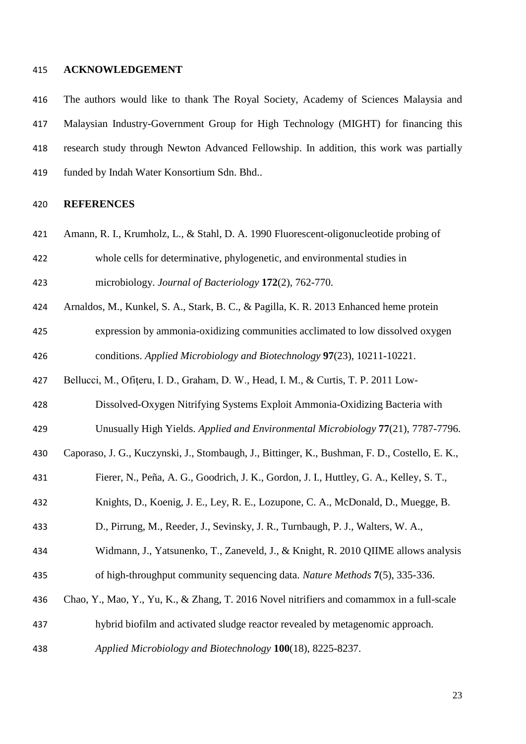### **ACKNOWLEDGEMENT**

 The authors would like to thank The Royal Society, Academy of Sciences Malaysia and Malaysian Industry-Government Group for High Technology (MIGHT) for financing this research study through Newton Advanced Fellowship. In addition, this work was partially funded by Indah Water Konsortium Sdn. Bhd..

## **REFERENCES**

- Amann, R. I., Krumholz, L., & Stahl, D. A. 1990 Fluorescent-oligonucleotide probing of
- whole cells for determinative, phylogenetic, and environmental studies in

microbiology. *Journal of Bacteriology* **172**(2), 762-770.

Arnaldos, M., Kunkel, S. A., Stark, B. C., & Pagilla, K. R. 2013 Enhanced heme protein

 expression by ammonia-oxidizing communities acclimated to low dissolved oxygen conditions. *Applied Microbiology and Biotechnology* **97**(23), 10211-10221.

- Bellucci, M., Ofiţeru, I. D., Graham, D. W., Head, I. M., & Curtis, T. P. 2011 Low-
- Dissolved-Oxygen Nitrifying Systems Exploit Ammonia-Oxidizing Bacteria with
- Unusually High Yields. *Applied and Environmental Microbiology* **77**(21), 7787-7796.
- Caporaso, J. G., Kuczynski, J., Stombaugh, J., Bittinger, K., Bushman, F. D., Costello, E. K.,
- Fierer, N., Peña, A. G., Goodrich, J. K., Gordon, J. I., Huttley, G. A., Kelley, S. T.,
- Knights, D., Koenig, J. E., Ley, R. E., Lozupone, C. A., McDonald, D., Muegge, B.
- D., Pirrung, M., Reeder, J., Sevinsky, J. R., Turnbaugh, P. J., Walters, W. A.,
- Widmann, J., Yatsunenko, T., Zaneveld, J., & Knight, R. 2010 QIIME allows analysis of high-throughput community sequencing data. *Nature Methods* **7**(5), 335-336.
- Chao, Y., Mao, Y., Yu, K., & Zhang, T. 2016 Novel nitrifiers and comammox in a full-scale
- hybrid biofilm and activated sludge reactor revealed by metagenomic approach.
- *Applied Microbiology and Biotechnology* **100**(18), 8225-8237.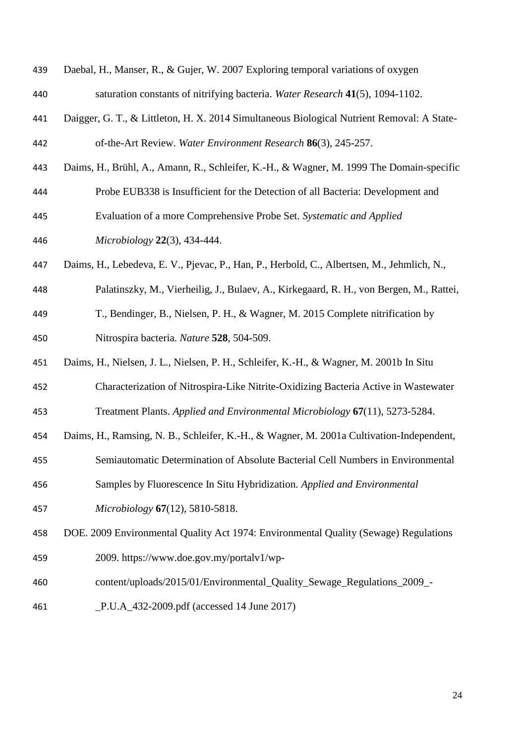| 439 | Daebal, H., Manser, R., & Gujer, W. 2007 Exploring temporal variations of oxygen           |
|-----|--------------------------------------------------------------------------------------------|
| 440 | saturation constants of nitrifying bacteria. Water Research 41(5), 1094-1102.              |
| 441 | Daigger, G. T., & Littleton, H. X. 2014 Simultaneous Biological Nutrient Removal: A State- |
| 442 | of-the-Art Review. Water Environment Research 86(3), 245-257.                              |
| 443 | Daims, H., Brühl, A., Amann, R., Schleifer, K.-H., & Wagner, M. 1999 The Domain-specific   |
| 444 | Probe EUB338 is Insufficient for the Detection of all Bacteria: Development and            |
| 445 | Evaluation of a more Comprehensive Probe Set. Systematic and Applied                       |
| 446 | Microbiology 22(3), 434-444.                                                               |
| 447 | Daims, H., Lebedeva, E. V., Pjevac, P., Han, P., Herbold, C., Albertsen, M., Jehmlich, N., |
| 448 | Palatinszky, M., Vierheilig, J., Bulaev, A., Kirkegaard, R. H., von Bergen, M., Rattei,    |
| 449 | T., Bendinger, B., Nielsen, P. H., & Wagner, M. 2015 Complete nitrification by             |
| 450 | Nitrospira bacteria. Nature 528, 504-509.                                                  |
| 451 | Daims, H., Nielsen, J. L., Nielsen, P. H., Schleifer, K.-H., & Wagner, M. 2001b In Situ    |
| 452 | Characterization of Nitrospira-Like Nitrite-Oxidizing Bacteria Active in Wastewater        |
| 453 | Treatment Plants. Applied and Environmental Microbiology 67(11), 5273-5284.                |
| 454 | Daims, H., Ramsing, N. B., Schleifer, K.-H., & Wagner, M. 2001a Cultivation-Independent,   |
| 455 | Semiautomatic Determination of Absolute Bacterial Cell Numbers in Environmental            |
| 456 | Samples by Fluorescence In Situ Hybridization. Applied and Environmental                   |
| 457 | Microbiology 67(12), 5810-5818.                                                            |
| 458 | DOE. 2009 Environmental Quality Act 1974: Environmental Quality (Sewage) Regulations       |
| 459 | 2009. https://www.doe.gov.my/portalv1/wp-                                                  |
| 460 | content/uploads/2015/01/Environmental_Quality_Sewage_Regulations_2009_-                    |
|     |                                                                                            |

\_P.U.A\_432-2009.pdf (accessed 14 June 2017)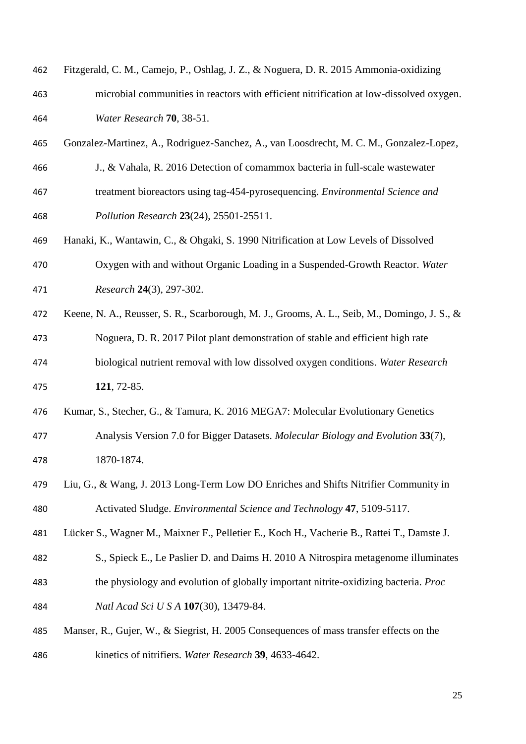| 462 | Fitzgerald, C. M., Camejo, P., Oshlag, J. Z., & Noguera, D. R. 2015 Ammonia-oxidizing        |
|-----|----------------------------------------------------------------------------------------------|
| 463 | microbial communities in reactors with efficient nitrification at low-dissolved oxygen.      |
| 464 | Water Research 70, 38-51.                                                                    |
| 465 | Gonzalez-Martinez, A., Rodriguez-Sanchez, A., van Loosdrecht, M. C. M., Gonzalez-Lopez,      |
| 466 | J., & Vahala, R. 2016 Detection of comammox bacteria in full-scale wastewater                |
| 467 | treatment bioreactors using tag-454-pyrosequencing. Environmental Science and                |
| 468 | Pollution Research 23(24), 25501-25511.                                                      |
| 469 | Hanaki, K., Wantawin, C., & Ohgaki, S. 1990 Nitrification at Low Levels of Dissolved         |
| 470 | Oxygen with and without Organic Loading in a Suspended-Growth Reactor. Water                 |
| 471 | Research 24(3), 297-302.                                                                     |
| 472 | Keene, N. A., Reusser, S. R., Scarborough, M. J., Grooms, A. L., Seib, M., Domingo, J. S., & |
| 473 | Noguera, D. R. 2017 Pilot plant demonstration of stable and efficient high rate              |
| 474 | biological nutrient removal with low dissolved oxygen conditions. Water Research             |
| 475 | 121, 72-85.                                                                                  |
| 476 | Kumar, S., Stecher, G., & Tamura, K. 2016 MEGA7: Molecular Evolutionary Genetics             |
| 477 | Analysis Version 7.0 for Bigger Datasets. Molecular Biology and Evolution 33(7),             |
| 478 | 1870-1874.                                                                                   |
| 479 | Liu, G., & Wang, J. 2013 Long-Term Low DO Enriches and Shifts Nitrifier Community in         |
| 480 | Activated Sludge. Environmental Science and Technology 47, 5109-5117.                        |
| 481 | Lücker S., Wagner M., Maixner F., Pelletier E., Koch H., Vacherie B., Rattei T., Damste J.   |
| 482 | S., Spieck E., Le Paslier D. and Daims H. 2010 A Nitrospira metagenome illuminates           |
| 483 | the physiology and evolution of globally important nitrite-oxidizing bacteria. Proc          |
| 484 | Natl Acad Sci U S A 107(30), 13479-84.                                                       |
| 485 | Manser, R., Gujer, W., & Siegrist, H. 2005 Consequences of mass transfer effects on the      |
| 486 | kinetics of nitrifiers. Water Research 39, 4633-4642.                                        |
|     |                                                                                              |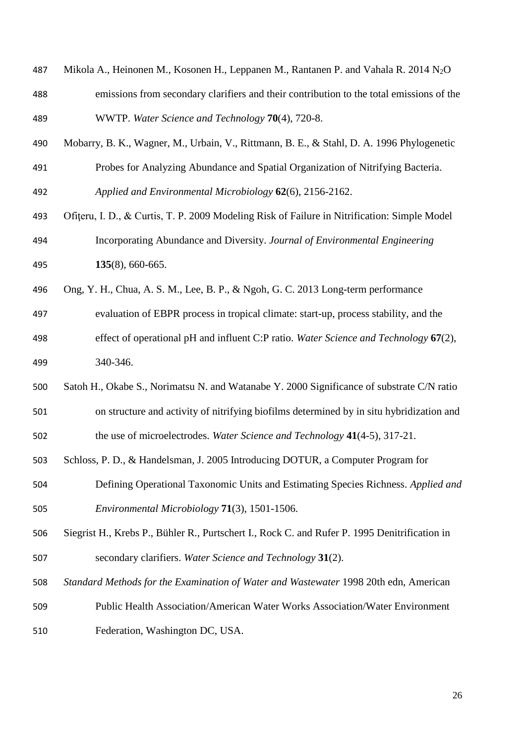- Mikola A., Heinonen M., Kosonen H., Leppanen M., Rantanen P. and Vahala R. 2014 N2O emissions from secondary clarifiers and their contribution to the total emissions of the WWTP. *Water Science and Technology* **70**(4), 720-8.
- Mobarry, B. K., Wagner, M., Urbain, V., Rittmann, B. E., & Stahl, D. A. 1996 Phylogenetic
- Probes for Analyzing Abundance and Spatial Organization of Nitrifying Bacteria. *Applied and Environmental Microbiology* **62**(6), 2156-2162.
- Ofiţeru, I. D., & Curtis, T. P. 2009 Modeling Risk of Failure in Nitrification: Simple Model Incorporating Abundance and Diversity. *Journal of Environmental Engineering*  **135**(8), 660-665.
- Ong, Y. H., Chua, A. S. M., Lee, B. P., & Ngoh, G. C. 2013 Long-term performance
- evaluation of EBPR process in tropical climate: start-up, process stability, and the
- effect of operational pH and influent C:P ratio. *Water Science and Technology* **67**(2), 340-346.
- Satoh H., Okabe S., Norimatsu N. and Watanabe Y. 2000 Significance of substrate C/N ratio
- on structure and activity of nitrifying biofilms determined by in situ hybridization and the use of microelectrodes. *Water Science and Technology* **41**(4-5), 317-21.
- Schloss, P. D., & Handelsman, J. 2005 Introducing DOTUR, a Computer Program for
- Defining Operational Taxonomic Units and Estimating Species Richness. *Applied and Environmental Microbiology* **71**(3), 1501-1506.
- Siegrist H., Krebs P., Bühler R., Purtschert I., Rock C. and Rufer P. 1995 Denitrification in secondary clarifiers. *Water Science and Technology* **31**(2).
- *Standard Methods for the Examination of Water and Wastewater* 1998 20th edn, American
- Public Health Association/American Water Works Association/Water Environment Federation, Washington DC, USA.